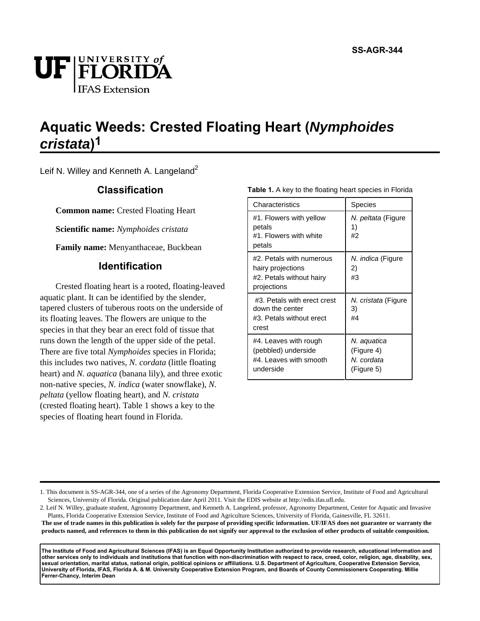

# **Aquatic Weeds: Crested Floating Heart (Nymphoides cristata) 1**

Leif N. Willey and Kenneth A. Langeland<sup>2</sup>

## **Classification**

**Common name:** Crested Floating Heart

**Scientific name:** *Nymphoides cristata*

**Family name:** Menyanthaceae, Buckbean

## **Identification**

Crested floating heart is a rooted, floating-leaved aquatic plant. It can be identified by the slender, tapered clusters of tuberous roots on the underside of its floating leaves. The flowers are unique to the species in that they bear an erect fold of tissue that runs down the length of the upper side of the petal. There are five total *Nymphoides* species in Florida; this includes two natives, *N. cordata* (little floating heart) and *N. aquatica* (banana lily), and three exotic non-native species, *N. indica* (water snowflake), *N. peltata* (yellow floating heart), and *N. cristata* (crested floating heart). Table 1 shows a key to the species of floating heart found in Florida.

| Table 1. A key to the floating heart species in Florida |
|---------------------------------------------------------|
|---------------------------------------------------------|

| Characteristics                                                                          | Species                                               |
|------------------------------------------------------------------------------------------|-------------------------------------------------------|
| #1. Flowers with yellow<br>petals<br>#1. Flowers with white<br>petals                    | N. <i>peltata</i> (Figure<br>1)<br>#2                 |
| #2. Petals with numerous<br>hairy projections<br>#2. Petals without hairy<br>projections | N. <i>indica</i> (Figure<br>2)<br>#3                  |
| #3. Petals with erect crest<br>down the center<br>#3. Petals without erect<br>crest      | N. cristata (Figure<br>3)<br>#4                       |
| #4. Leaves with rough<br>(pebbled) underside<br>#4. Leaves with smooth<br>underside      | N. aquatica<br>(Figure 4)<br>N. cordata<br>(Figure 5) |

2. Leif N. Willey, graduate student, Agronomy Department, and Kenneth A. Langelend, professor, Agronomy Department, Center for Aquatic and Invasive Plants, Florida Cooperative Extension Service, Institute of Food and Agriculture Sciences, University of Florida, Gainesville, FL 32611.

**The use of trade names in this publication is solely for the purpose of providing specific information. UF/IFAS does not guarantee or warranty the products named, and references to them in this publication do not signify our approval to the exclusion of other products of suitable composition.** 

**The Institute of Food and Agricultural Sciences (IFAS) is an Equal Opportunity Institution authorized to provide research, educational information and other services only to individuals and institutions that function with non-discrimination with respect to race, creed, color, religion, age, disability, sex, sexual orientation, marital status, national origin, political opinions or affiliations. U.S. Department of Agriculture, Cooperative Extension Service, University of Florida, IFAS, Florida A. & M. University Cooperative Extension Program, and Boards of County Commissioners Cooperating. Millie Ferrer-Chancy, Interim Dean**

<sup>1.</sup> This document is SS-AGR-344, one of a series of the Agronomy Department, Florida Cooperative Extension Service, Institute of Food and Agricultural Sciences, University of Florida. Original publication date April 2011. Visit the EDIS website at http://edis.ifas.ufl.edu.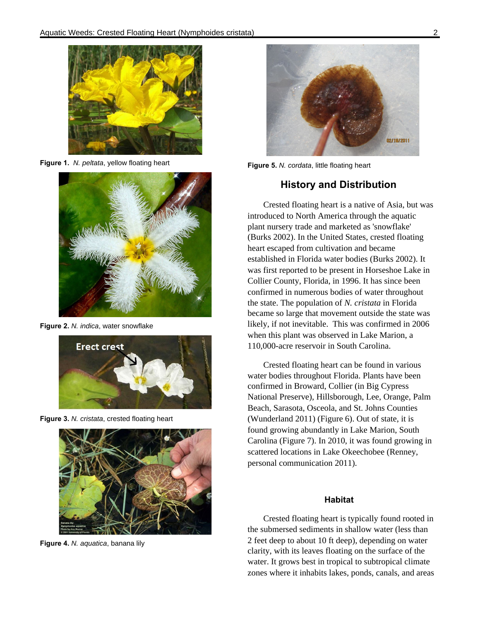

**Figure 1.** N. peltata, yellow floating heart



**Figure 2.** N. indica, water snowflake



**Figure 3.** N. cristata, crested floating heart



**Figure 4.** N. aquatica, banana lily



**Figure 5.** N. cordata, little floating heart

## **History and Distribution**

Crested floating heart is a native of Asia, but was introduced to North America through the aquatic plant nursery trade and marketed as 'snowflake' (Burks 2002). In the United States, crested floating heart escaped from cultivation and became established in Florida water bodies (Burks 2002). It was first reported to be present in Horseshoe Lake in Collier County, Florida, in 1996. It has since been confirmed in numerous bodies of water throughout the state. The population of *N. cristata* in Florida became so large that movement outside the state was likely, if not inevitable. This was confirmed in 2006 when this plant was observed in Lake Marion, a 110,000-acre reservoir in South Carolina.

Crested floating heart can be found in various water bodies throughout Florida. Plants have been confirmed in Broward, Collier (in Big Cypress National Preserve), Hillsborough, Lee, Orange, Palm Beach, Sarasota, Osceola, and St. Johns Counties (Wunderland 2011) (Figure 6). Out of state, it is found growing abundantly in Lake Marion, South Carolina (Figure 7). In 2010, it was found growing in scattered locations in Lake Okeechobee (Renney, personal communication 2011).

#### **Habitat**

Crested floating heart is typically found rooted in the submersed sediments in shallow water (less than 2 feet deep to about 10 ft deep), depending on water clarity, with its leaves floating on the surface of the water. It grows best in tropical to subtropical climate zones where it inhabits lakes, ponds, canals, and areas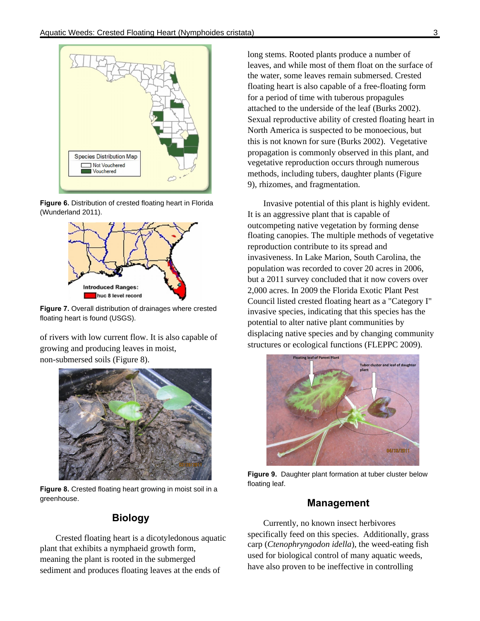

**Figure 6.** Distribution of crested floating heart in Florida (Wunderland 2011).



**Figure 7.** Overall distribution of drainages where crested floating heart is found (USGS).

of rivers with low current flow. It is also capable of growing and producing leaves in moist, non-submersed soils (Figure 8).



**Figure 8.** Crested floating heart growing in moist soil in a greenhouse.

## **Biology**

Crested floating heart is a dicotyledonous aquatic plant that exhibits a nymphaeid growth form, meaning the plant is rooted in the submerged sediment and produces floating leaves at the ends of

long stems. Rooted plants produce a number of leaves, and while most of them float on the surface of the water, some leaves remain submersed. Crested floating heart is also capable of a free-floating form for a period of time with tuberous propagules attached to the underside of the leaf (Burks 2002). Sexual reproductive ability of crested floating heart in North America is suspected to be monoecious, but this is not known for sure (Burks 2002). Vegetative propagation is commonly observed in this plant, and vegetative reproduction occurs through numerous methods, including tubers, daughter plants (Figure 9), rhizomes, and fragmentation.

Invasive potential of this plant is highly evident. It is an aggressive plant that is capable of outcompeting native vegetation by forming dense floating canopies. The multiple methods of vegetative reproduction contribute to its spread and invasiveness. In Lake Marion, South Carolina, the population was recorded to cover 20 acres in 2006, but a 2011 survey concluded that it now covers over 2,000 acres. In 2009 the Florida Exotic Plant Pest Council listed crested floating heart as a "Category I" invasive species, indicating that this species has the potential to alter native plant communities by displacing native species and by changing community structures or ecological functions (FLEPPC 2009).



**Figure 9.** Daughter plant formation at tuber cluster below floating leaf.

### **Management**

Currently, no known insect herbivores specifically feed on this species. Additionally, grass carp (*Ctenophryngodon idella*), the weed-eating fish used for biological control of many aquatic weeds, have also proven to be ineffective in controlling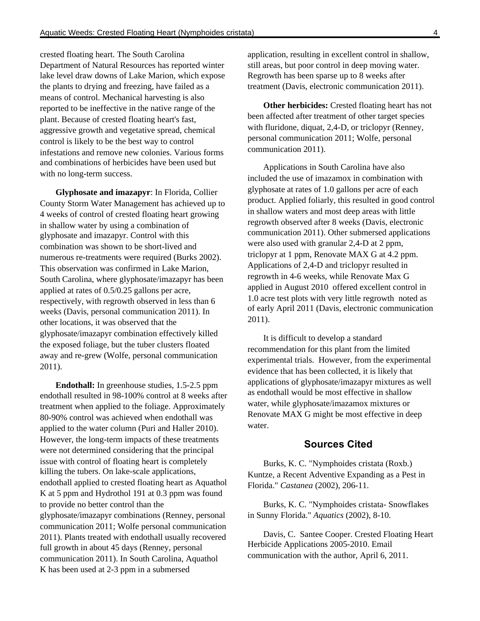crested floating heart. The South Carolina Department of Natural Resources has reported winter lake level draw downs of Lake Marion, which expose the plants to drying and freezing, have failed as a means of control. Mechanical harvesting is also reported to be ineffective in the native range of the plant. Because of crested floating heart's fast, aggressive growth and vegetative spread, chemical control is likely to be the best way to control infestations and remove new colonies. Various forms and combinations of herbicides have been used but with no long-term success.

**Glyphosate and imazapyr**: In Florida, Collier County Storm Water Management has achieved up to 4 weeks of control of crested floating heart growing in shallow water by using a combination of glyphosate and imazapyr. Control with this combination was shown to be short-lived and numerous re-treatments were required (Burks 2002). This observation was confirmed in Lake Marion, South Carolina, where glyphosate/imazapyr has been applied at rates of 0.5/0.25 gallons per acre, respectively, with regrowth observed in less than 6 weeks (Davis, personal communication 2011). In other locations, it was observed that the glyphosate/imazapyr combination effectively killed the exposed foliage, but the tuber clusters floated away and re-grew (Wolfe, personal communication 2011).

**Endothall:** In greenhouse studies, 1.5-2.5 ppm endothall resulted in 98-100% control at 8 weeks after treatment when applied to the foliage. Approximately 80-90% control was achieved when endothall was applied to the water column (Puri and Haller 2010). However, the long-term impacts of these treatments were not determined considering that the principal issue with control of floating heart is completely killing the tubers. On lake-scale applications, endothall applied to crested floating heart as Aquathol K at 5 ppm and Hydrothol 191 at 0.3 ppm was found to provide no better control than the glyphosate/imazapyr combinations (Renney, personal communication 2011; Wolfe personal communication 2011). Plants treated with endothall usually recovered full growth in about 45 days (Renney, personal communication 2011). In South Carolina, Aquathol K has been used at 2-3 ppm in a submersed

application, resulting in excellent control in shallow, still areas, but poor control in deep moving water. Regrowth has been sparse up to 8 weeks after treatment (Davis, electronic communication 2011).

**Other herbicides:** Crested floating heart has not been affected after treatment of other target species with fluridone, diquat, 2,4-D, or triclopyr (Renney, personal communication 2011; Wolfe, personal communication 2011).

Applications in South Carolina have also included the use of imazamox in combination with glyphosate at rates of 1.0 gallons per acre of each product. Applied foliarly, this resulted in good control in shallow waters and most deep areas with little regrowth observed after 8 weeks (Davis, electronic communication 2011). Other submersed applications were also used with granular 2,4-D at 2 ppm, triclopyr at 1 ppm, Renovate MAX G at 4.2 ppm. Applications of 2,4-D and triclopyr resulted in regrowth in 4-6 weeks, while Renovate Max G applied in August 2010 offered excellent control in 1.0 acre test plots with very little regrowth noted as of early April 2011 (Davis, electronic communication 2011).

It is difficult to develop a standard recommendation for this plant from the limited experimental trials. However, from the experimental evidence that has been collected, it is likely that applications of glyphosate/imazapyr mixtures as well as endothall would be most effective in shallow water, while glyphosate/imazamox mixtures or Renovate MAX G might be most effective in deep water.

#### **Sources Cited**

Burks, K. C. "Nymphoides cristata (Roxb.) Kuntze, a Recent Adventive Expanding as a Pest in Florida." *Castanea* (2002), 206-11.

Burks, K. C. "Nymphoides cristata- Snowflakes in Sunny Florida." *Aquatics* (2002), 8-10.

Davis, C. Santee Cooper. Crested Floating Heart Herbicide Applications 2005-2010. Email communication with the author, April 6, 2011.